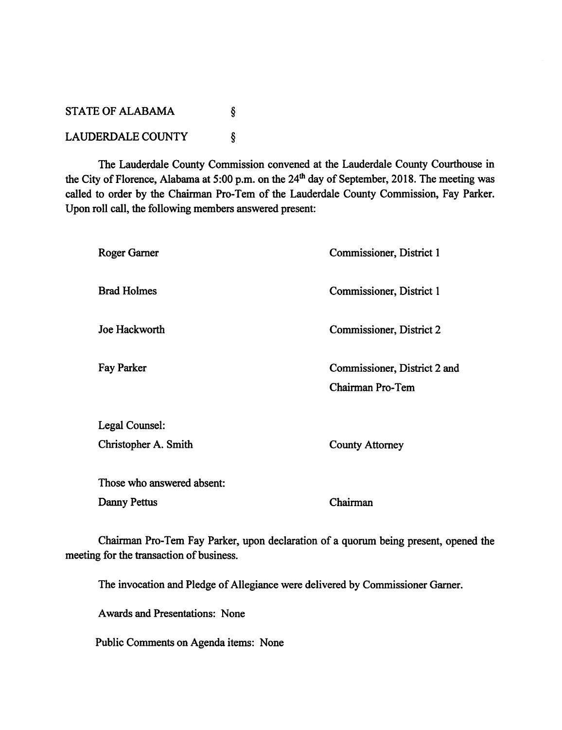## *STATE OF ALABAMA*  $\S$ *LAUDERDALE COUNTY* Ş

*The Lauderdale County Commission convened at the Lauderdale County Courthouse in the City ofFlorence, Alabama at 5:00 p.m. on the 24th dayof September, 2018. The meeting was called to order by the Chairman Pro-Tem of the Lauderdale County Commission, Fay Parker. Upon roll call, the following members answered present:*

## *Roger Garner Brad Holmes Joe Hackworth Fay Parker Legal Counsel: Christopher A. Smith Those who answered absent: Danny Pettus Commissioner, District 1 Commissioner, District 1 Commissioner, District 2 Commissioner, District 2 and Chairman Pro-Tem County Attorney Chairman*

*Chairman Pro-Tem Fay Parker, upon declaration of a quorum being present, opened the meeting* for the transaction of business.

*The invocation and Pledge ofAllegiance were delivered by Commissioner Garner.*

*Awards and Presentations: None*

*Public Comments on Agenda items: None*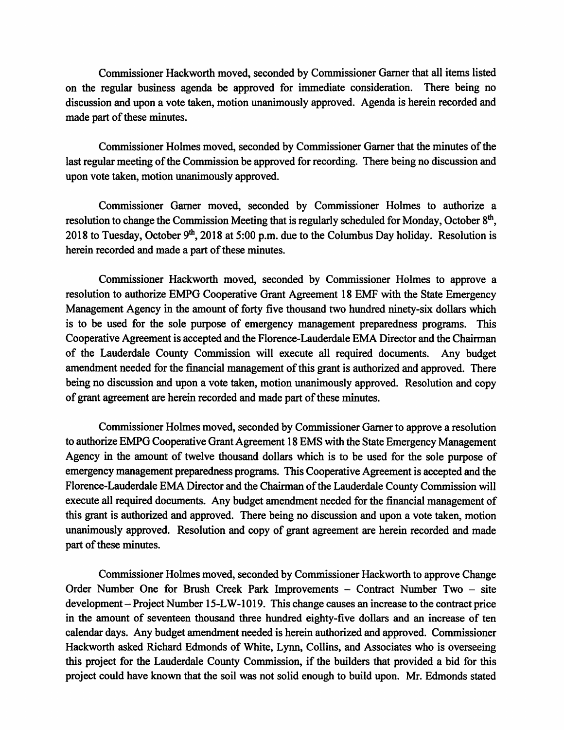*Commissioner Hackworth moved, seconded by Commissioner Garnerthat all items listed on the regular business agenda be approved for immediate consideration. There being no* discussion and upon a vote taken, motion unanimously approved. Agenda is herein recorded and *made part of these minutes.* 

*Commissioner Holmes moved, seconded by Commissioner Gamer that the minutes ofthe* last regular meeting of the Commission be approved for recording. There being no discussion and *upon vote taken, motion unanimously approved.*

*Commissioner Gamer moved, seconded by Commissioner Holmes to authorize a resolution* to change the Commission Meeting that is regularly scheduled for Monday, October  $8<sup>th</sup>$ , *2018 to Tuesday, October 9th, 2018 at5:00 p.m. due to theColumbus Day holiday. Resolution is herein recorded and made a part ofthese minutes.*

*Commissioner Hackworth moved, seconded by Commissioner Holmes to approve a resolution to authorize EMPG Cooperative Grant Agreement 18 EMF with the State Emergency Management Agency in the amount of forty five thousand two hundred ninety-six dollars which is to be used for the sole purpose of emergency management preparedness programs. This Cooperative Agreement is accepted and the Florence-Lauderdale EMA Director and the Chairman of the Lauderdale County Commission will execute all required documents. Any budget amendment needed forthe financial managementofthis grant is authorized and approved. There being no discussion and upon a vote taken, motion unanimously approved. Resolution and copy ofgrant agreementareherein recorded and made partofthese minutes.*

*Commissioner Holmes moved, seconded by Commissioner Gamerto approve a resolution* to authorize EMPG Cooperative Grant Agreement 18 EMS with the State Emergency Management *Agency in the amount of twelve thousand dollars which is to be used for the sole purpose of emergency management preparednessprograms. This Cooperative Agreement is accepted and the Florence-Lauderdale EMA Director and the Chairman of the Lauderdale County Commission will* **execute all required documents.** Any budget amendment needed for the financial management of *this grant is authorized and approved. There being no discussion and upon a vote taken, motion unanimously approved. Resolution and copy of grant agreement are herein recorded and made*  $part of these minutes.$ 

*Commissioner Holmes moved, seconded by Commissioner Hackworth to approve Change Order Number One for Brush Creek Park Improvements - Contract Number Two - site development* – Project Number 15-LW-1019. This change causes an increase to the contract price *in the amount of seventeen thousand three hundred eighty-five dollars and an increase of ten calendar days. Any budget amendment needed is herein authorized and approved. Commissioner Hackworth asked Richard Edmonds of White, Lynn, Collins, and Associates who is overseeing this project for the Lauderdale County Commission, if the builders that provided a bid for this project could have known that the soil was not solid enough to build upon. Mr. Edmonds stated*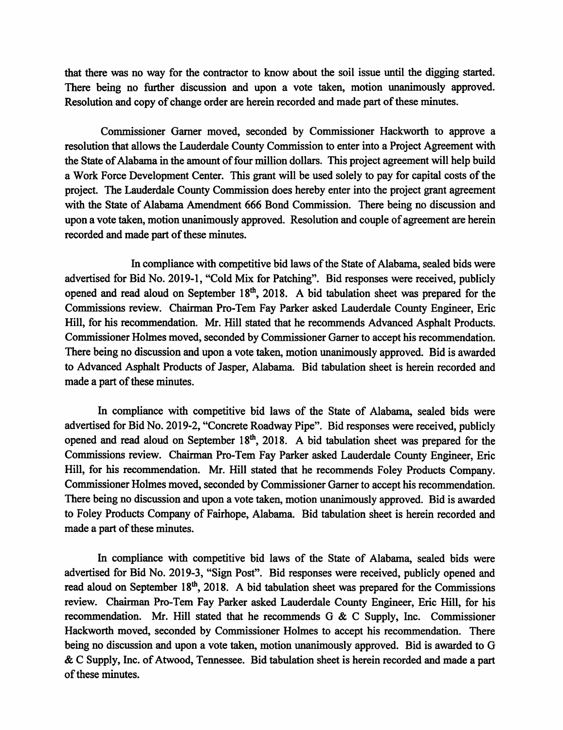*that there was no way for the contractor to know about the soil issue until the digging started. There being no further discussion and upon a vote taken, motion unanimously approved. Resolution and copy of change order are herein recorded and made part ofthese minutes.*

*Commissioner Garner moved, seconded by Commissioner Hackworth to approve a resolution that allows the Lauderdale County Commission to enter into a Project Agreement with the State ofAlabama in the amount offour million dollars. This project agreement will help build a Work Force Development Center. This grant will be used solely to pay for capital costs ofthe project. The Lauderdale County Commission does hereby enter into the project grant agreement with the State of Alabama Amendment 666 Bond Commission. There being no discussion and upon a vote taken, motion unanimously approved. Resolution and couple ofagreement are herein recorded and made part of these minutes.* 

In compliance with competitive bid laws of the State of Alabama, sealed bids were *advertised for Bid No. 2019-1, "Cold Mix for Patching". Bid responses were received, publicly opened and read aloud on September 18th, 2018. A bid tabulation sheet was prepared for the Commissions review. Chairman Pro-Tem Fay Parker asked Lauderdale County Engineer, Eric Hill, for his recommendation. Mr. Hill stated that he recommends Advanced Asphalt Products. Commissioner Holmes moved, seconded by Commissioner Garnerto accept his recommendation. There being no discussion and upon a vote taken, motion unanimously approved. Bid is awarded to Advanced Asphalt Products of Jasper, Alabama. Bid tabulation sheet is herein recorded and made a part of these minutes.* 

*In compliance with competitive bid laws of the State of Alabama, sealed bids were advertised for Bid No. 2019-2, "Concrete Roadway Pipe". Bid responses were received, publicly opened and read aloud on September 18th, 2018. A bid tabulation sheet was prepared for the Commissions review. Chairman Pro-Tem Fay Parker asked Lauderdale County Engineer, Eric Hill, for his recommendation. Mr. Hill stated that he recommends Foley Products Company. Commissioner Holmes moved, seconded by Commissioner Garner to accept his recommendation. There being no discussion and upon a vote taken, motion unanimously approved. Bid is awarded to Foley Products Company of Fairhope, Alabama. Bid tabulation sheet is herein recorded and made a part of these minutes.* 

*In compliance with competitive bid laws of the State of Alabama, sealed bids were advertised for Bid No. 2019-3, "Sign Post". Bid responses were received, publicly opened and read aloud on September 18th, 2018. A bidtabulation sheet was prepared for the Commissions review. Chairman Pro-Tem Fay Parker asked Lauderdale County Engineer, Eric Hill, for his recommendation. Mr. Hill stated that he recommends G & C Supply, Inc. Commissioner Hackworth moved, seconded by Commissioner Holmes to accept his recommendation. There being no discussion and upon a vote taken, motion unanimously approved. Bid is awarded to G*  $\&$  C Supply, Inc. of Atwood, Tennessee. Bid tabulation sheet is herein recorded and made a part *ofthese minutes.*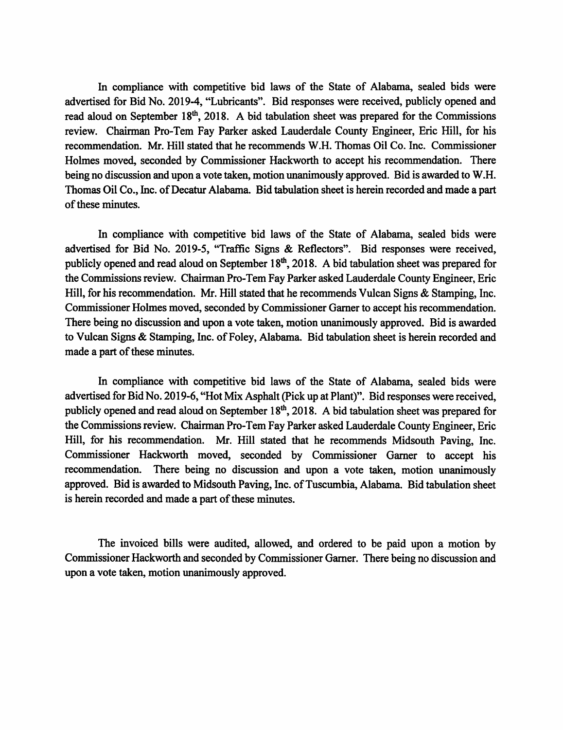*In compliance with competitive bid laws of the State of Alabama, sealed bids were advertised for Bid No. 2019-4, "Lubricants". Bid responses were received, publicly opened and read aloud on September 18th, 2018. A bid tabulation sheet was prepared for the Commissions review. Chairman Pro-Tem Fay Parker asked Lauderdale County Engineer, Eric Hill, for his recommendation. Mr. Hill stated that he recommends W.H. Thomas Oil Co. Inc. Commissioner Holmes moved, seconded by Commissioner Hackworth to accept his recommendation. There being no discussion and upon a vote taken, motion unanimously approved. Bid is awarded to W.H. Thomas Oil Co., Inc. ofDecatur Alabama. Bid tabulation sheet is herein recorded and made a part ofthese minutes.*

*In compliance with competitive bid laws of the State of Alabama, sealed bids were advertised for Bid No. 2019-5, "Traffic Signs & Reflectors". Bid responses were received, publicly opened and read aloud on September 18th, 2018. A bidtabulation sheet was prepared for the Commissions review. Chairman Pro-Tem Fay Parker asked Lauderdale County Engineer, Eric Hill, for his recommendation. Mr. Hill stated that he recommends Vulcan Signs & Stamping, Inc. Commissioner Holmes moved, seconded by Commissioner Garnerto accept his recommendation. There being no discussion and upon a vote taken, motion unanimously approved. Bid is awarded to Vulcan Signs & Stamping, Inc. ofFoley, Alabama. Bid tabulation sheet is herein recorded and made a part* of these *minutes*.

*In compliance with competitive bid laws of the State of Alabama, sealed bids were advertisedforBid No. 2019-6,"Hot Mix Asphalt (Pick up atPlant)". Bid responses were received, publicly opened and read aloud on September 18th, 2018. A bidtabulation sheet was prepared for the Commissionsreview. Chairman Pro-Tem FayParker asked Lauderdale CountyEngineer, Eric Hill, for his recommendation. Mr. Hill stated that he recommends Midsouth Paving, Inc. Commissioner Hackworth moved, seconded by Commissioner Garner to accept his recommendation. There being no discussion and upon a vote taken, motion unanimously* approved. Bid is awarded to Midsouth Paving, Inc. of Tuscumbia, Alabama. Bid tabulation sheet is herein recorded and made a part of these minutes.

*The invoiced bills were audited, allowed, and ordered to be paid upon a motion by Commissioner Hackworth and secondedby Commissioner Garner. There being no discussion and upon a vote taken, motion unanimously approved.*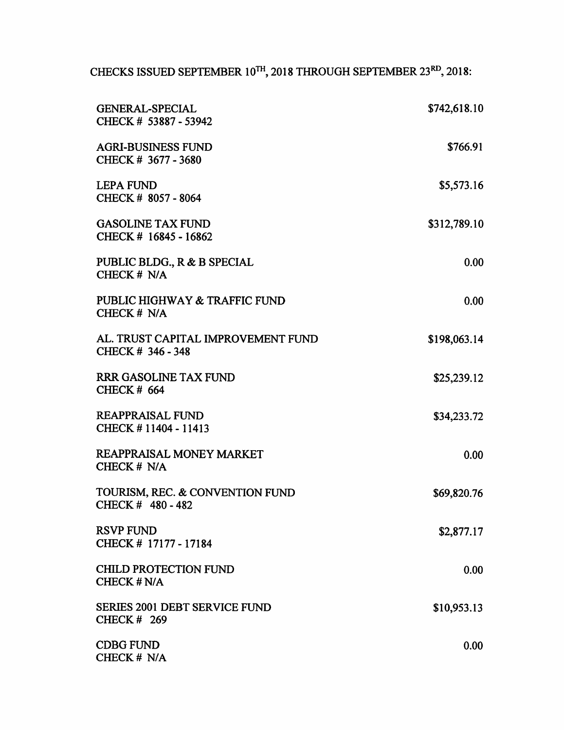*CHECKS ISSUED SEPTEMBER 10™, 2018 THROUGH SEPTEMBER 23rd,2018:*

| <b>GENERAL-SPECIAL</b><br>CHECK # 53887 - 53942            | \$742,618.10 |
|------------------------------------------------------------|--------------|
| <b>AGRI-BUSINESS FUND</b><br>CHECK # 3677 - 3680           | \$766.91     |
| <b>LEPA FUND</b><br>CHECK # 8057 - 8064                    | \$5,573.16   |
| <b>GASOLINE TAX FUND</b><br>CHECK # 16845 - 16862          | \$312,789.10 |
| PUBLIC BLDG., R & B SPECIAL<br>CHECK # N/A                 | 0.00         |
| PUBLIC HIGHWAY & TRAFFIC FUND<br>CHECK # N/A               | 0.00         |
| AL. TRUST CAPITAL IMPROVEMENT FUND<br>CHECK # 346 - 348    | \$198,063.14 |
| <b>RRR GASOLINE TAX FUND</b><br><b>CHECK # 664</b>         | \$25,239.12  |
| <b>REAPPRAISAL FUND</b><br>CHECK #11404 - 11413            | \$34,233.72  |
| <b>REAPPRAISAL MONEY MARKET</b><br>CHECK # N/A             | 0.00         |
| TOURISM, REC. & CONVENTION FUND<br>CHECK # 480 - 482       | \$69,820.76  |
| <b>RSVP FUND</b><br>CHECK # 17177 - 17184                  | \$2,877.17   |
| <b>CHILD PROTECTION FUND</b><br>CHECK # N/A                | 0.00         |
| <b>SERIES 2001 DEBT SERVICE FUND</b><br><b>CHECK # 269</b> | \$10,953.13  |
| <b>CDBG FUND</b><br>CHECK # N/A                            | 0.00         |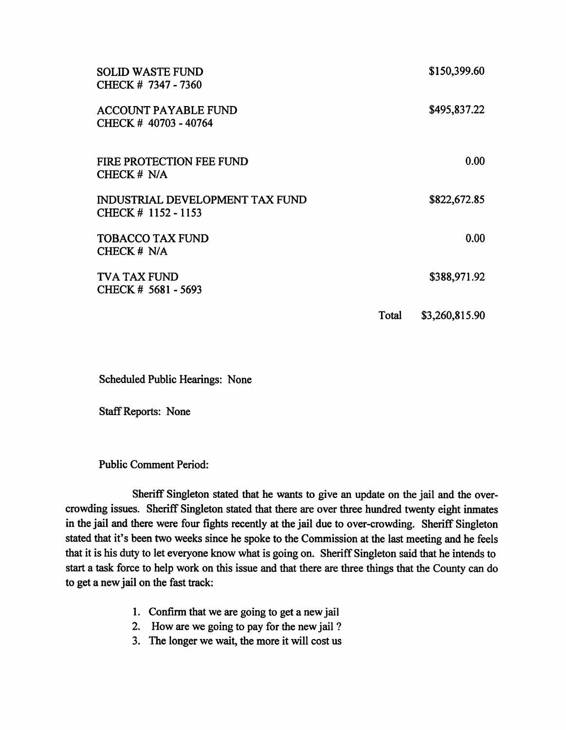| <b>SOLID WASTE FUND</b><br>CHECK # 7347 - 7360         |       | \$150,399.60   |
|--------------------------------------------------------|-------|----------------|
| <b>ACCOUNT PAYABLE FUND</b><br>CHECK #40703 - 40764    |       | \$495,837.22   |
| FIRE PROTECTION FEE FUND<br>CHECK # N/A                |       | 0.00           |
| INDUSTRIAL DEVELOPMENT TAX FUND<br>CHECK # 1152 - 1153 |       | \$822,672.85   |
| <b>TOBACCO TAX FUND</b><br>CHECK # N/A                 |       | 0.00           |
| TVA TAX FUND<br>CHECK # 5681 - 5693                    |       | \$388,971.92   |
|                                                        | Total | \$3,260,815.90 |

*Scheduled Public Hearings: None*

*StaffReports: None*

*Public Comment Period:*

*Sheriff Singleton stated that he wants to give an update on the jail and the over crowding issues.* Sheriff Singleton stated that there are over three hundred twenty eight inmates *in the jail and there were four fights recently at the jail due to over-crowding. Sheriff Singleton* stated that it's been two weeks since he spoke to the Commission at the last meeting and he feels *that it is his duty to let everyone know what is going on. Sheriff Singleton saidthat he intends to starta task force to help work on this issue and that there are three things that the County can do to get a new jail on the fast track:*

- *1. Confirm that we are going to get a newjail*
- *2. How are we going to pay for the new jail ?*
- *3. The longer we wait, the more it will cost us*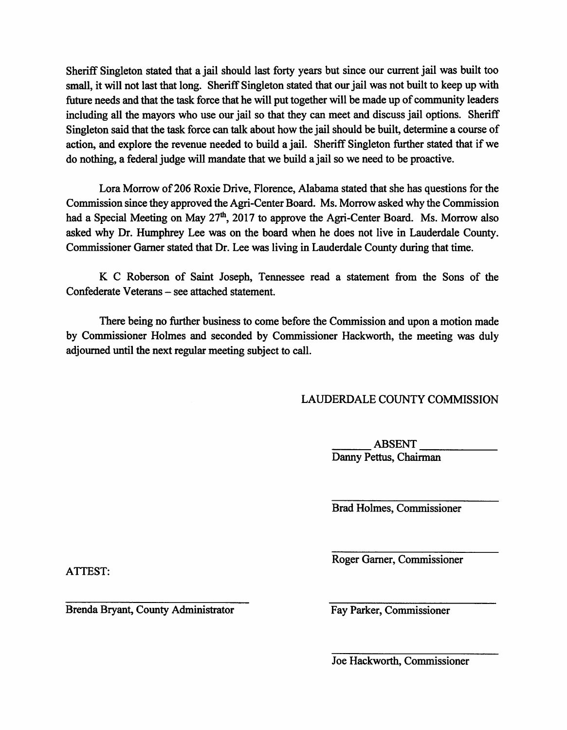*Sheriff Singleton statedthat a jail should last forty years but since our current jail was built too small, it will not last that long. Sheriff Singleton stated that our jail was not built to keep up with* future needs and that the task force that he will put together will be made up of community leaders *including all the mayors who use our jail so that they can meet and discuss jail options. Sheriff* Singleton said that the task force can talk about how the jail should be built, determine a course of *action, and explore the revenue needed to build a jail. Sheriff Singleton further stated that ifwe do nothing, a federal judge will mandate that we build a jail so we need to be proactive.*

*Lora Morrow of206 Roxie Drive, Florence, Alabama stated that she has questions for the Commission since they approved the Agri-Center Board. Ms. Morrow asked why the Commission had a Special Meeting on May 27th, 2017 to approve the Agri-Center Board. Ms. Morrow also asked why Dr. Humphrey Lee was on the board when he does not live in Lauderdale County. Commissioner Garner stated that Dr. Lee was living in Lauderdale County during that time.*

*K C Roberson of Saint Joseph, Tennessee read a statement from the Sons of the Confederate Veterans - see attached statement.*

*There being no further business to come before the Commission and upon a motion made by Commissioner Holmes and seconded by Commissioner Hackworth, the meeting was duly adjourneduntil the next regularmeeting subject to call.*

## *LAUDERDALE COUNTY COMMISSION*

*ABSENT Danny Pettus, Chairman*

*Brad Holmes, Commissioner*

*Roger Gamer, Commissioner*

*ATTEST:*

*Brenda Bryant, County Administrator Fay Parker, Commissioner*

*Joe Hackworth, Commissioner*